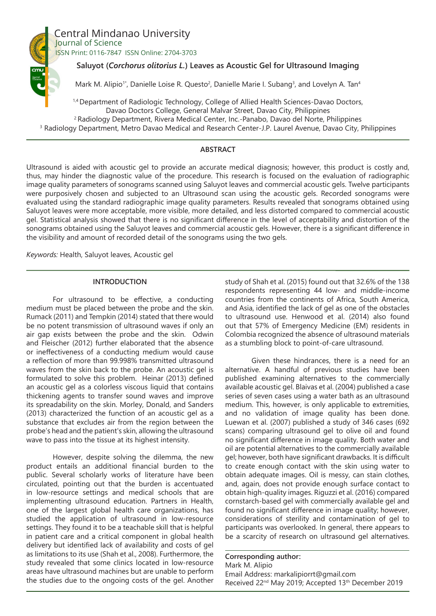

# Central Mindanao University Journal of Science

ISSN Print: 0116-7847 ISSN Online: 2704-3703

## **Saluyot (***Corchorus olitorius L.***) Leaves as Acoustic Gel for Ultrasound Imaging**

Mark M. Alipio<sup>1\*</sup>, Danielle Loise R. Questo<sup>2</sup>, Danielle Marie I. Subang<sup>3</sup>, and Lovelyn A. Tan<sup>4</sup>

<sup>1,4</sup> Department of Radiologic Technology, College of Allied Health Sciences-Davao Doctors, Davao Doctors College, General Malvar Street, Davao City, Philippines 2 Radiology Department, Rivera Medical Center, Inc.-Panabo, Davao del Norte, Philippines 3 Radiology Department, Metro Davao Medical and Research Center-J.P. Laurel Avenue, Davao City, Philippines

# **ABSTRACT**

Ultrasound is aided with acoustic gel to provide an accurate medical diagnosis; however, this product is costly and, thus, may hinder the diagnostic value of the procedure. This research is focused on the evaluation of radiographic image quality parameters of sonograms scanned using Saluyot leaves and commercial acoustic gels. Twelve participants were purposively chosen and subjected to an Ultrasound scan using the acoustic gels. Recorded sonograms were evaluated using the standard radiographic image quality parameters. Results revealed that sonograms obtained using Saluyot leaves were more acceptable, more visible, more detailed, and less distorted compared to commercial acoustic gel. Statistical analysis showed that there is no significant difference in the level of acceptability and distortion of the sonograms obtained using the Saluyot leaves and commercial acoustic gels. However, there is a significant difference in the visibility and amount of recorded detail of the sonograms using the two gels.

*Keywords:* Health, Saluyot leaves, Acoustic gel

## **INTRODUCTION**

For ultrasound to be effective, a conducting medium must be placed between the probe and the skin. Rumack (2011) and Tempkin (2014) stated that there would be no potent transmission of ultrasound waves if only an air gap exists between the probe and the skin. Odwin and Fleischer (2012) further elaborated that the absence or ineffectiveness of a conducting medium would cause a reflection of more than 99.998% transmitted ultrasound waves from the skin back to the probe. An acoustic gel is formulated to solve this problem. Heinar (2013) defined an acoustic gel as a colorless viscous liquid that contains thickening agents to transfer sound waves and improve its spreadability on the skin. Morley, Donald, and Sanders (2013) characterized the function of an acoustic gel as a substance that excludes air from the region between the probe's head and the patient's skin, allowing the ultrasound wave to pass into the tissue at its highest intensity.

However, despite solving the dilemma, the new product entails an additional financial burden to the public. Several scholarly works of literature have been circulated, pointing out that the burden is accentuated in low-resource settings and medical schools that are implementing ultrasound education. Partners in Health, one of the largest global health care organizations, has studied the application of ultrasound in low-resource settings. They found it to be a teachable skill that is helpful in patient care and a critical component in global health delivery but identified lack of availability and costs of gel as limitations to its use (Shah et al., 2008). Furthermore, the study revealed that some clinics located in low-resource areas have ultrasound machines but are unable to perform the studies due to the ongoing costs of the gel. Another study of Shah et al. (2015) found out that 32.6% of the 138 respondents representing 44 low- and middle-income countries from the continents of Africa, South America, and Asia, identified the lack of gel as one of the obstacles to ultrasound use. Henwood et al. (2014) also found out that 57% of Emergency Medicine (EM) residents in Colombia recognized the absence of ultrasound materials as a stumbling block to point-of-care ultrasound.

Given these hindrances, there is a need for an alternative. A handful of previous studies have been published examining alternatives to the commercially available acoustic gel. Blaivas et al. (2004) published a case series of seven cases using a water bath as an ultrasound medium. This, however, is only applicable to extremities, and no validation of image quality has been done. Luewan et al. (2007) published a study of 346 cases (692 scans) comparing ultrasound gel to olive oil and found no significant difference in image quality. Both water and oil are potential alternatives to the commercially available gel; however, both have significant drawbacks. It is difficult to create enough contact with the skin using water to obtain adequate images. Oil is messy, can stain clothes, and, again, does not provide enough surface contact to obtain high-quality images. Riguzzi et al. (2016) compared cornstarch-based gel with commercially available gel and found no significant difference in image quality; however, considerations of sterility and contamination of gel to participants was overlooked. In general, there appears to be a scarcity of research on ultrasound gel alternatives.

# **Corresponding author:**

Mark M. Alipio Email Address: markalipiorrt@gmail.com Received 22<sup>nd</sup> May 2019; Accepted 13<sup>th</sup> December 2019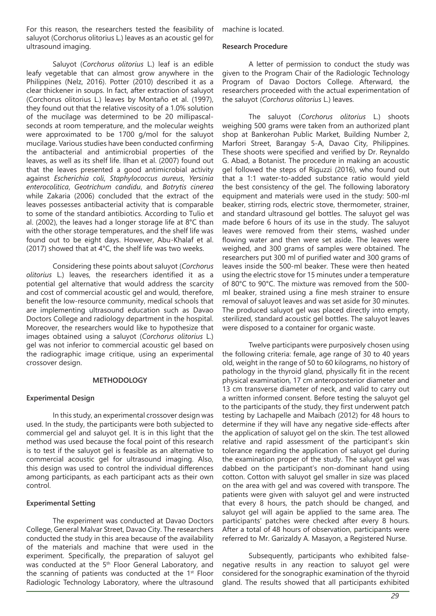For this reason, the researchers tested the feasibility of saluyot (Corchorus olitorius L.) leaves as an acoustic gel for ultrasound imaging.

Saluyot (*Corchorus olitorius* L.) leaf is an edible leafy vegetable that can almost grow anywhere in the Philippines (Nelz, 2016). Potter (2010) described it as a clear thickener in soups. In fact, after extraction of saluyot (Corchorus olitorius L.) leaves by Montaño et al. (1997), they found out that the relative viscosity of a 1.0% solution of the mucilage was determined to be 20 millipascalseconds at room temperature, and the molecular weights were approximated to be 1700 g/mol for the saluyot mucilage. Various studies have been conducted confirming the antibacterial and antimicrobial properties of the leaves, as well as its shelf life. Ilhan et al. (2007) found out that the leaves presented a good antimicrobial activity against *Escherichia coli*, *Staphylococcus aureus*, *Yersinia enterocolitica*, *Geotrichum candidu*, and *Botrytis cinerea* while Zakaria (2006) concluded that the extract of the leaves possesses antibacterial activity that is comparable to some of the standard antibiotics. According to Tulio et al. (2002), the leaves had a longer storage life at 8°C than with the other storage temperatures, and the shelf life was found out to be eight days. However, Abu-Khalaf et al. (2017) showed that at 4°C, the shelf life was two weeks.

Considering these points about saluyot (*Corchorus olitorius* L.) leaves, the researchers identified it as a potential gel alternative that would address the scarcity and cost of commercial acoustic gel and would, therefore, benefit the low-resource community, medical schools that are implementing ultrasound education such as Davao Doctors College and radiology department in the hospital. Moreover, the researchers would like to hypothesize that images obtained using a saluyot (*Corchorus olitorius* L.) gel was not inferior to commercial acoustic gel based on the radiographic image critique, using an experimental crossover design.

#### **METHODOLOGY**

## **Experimental Design**

In this study, an experimental crossover design was used. In the study, the participants were both subjected to commercial gel and saluyot gel. It is in this light that the method was used because the focal point of this research is to test if the saluyot gel is feasible as an alternative to commercial acoustic gel for ultrasound imaging. Also, this design was used to control the individual differences among participants, as each participant acts as their own control.

## **Experimental Setting**

The experiment was conducted at Davao Doctors College, General Malvar Street, Davao City. The researchers conducted the study in this area because of the availability of the materials and machine that were used in the experiment. Specifically, the preparation of saluyot gel was conducted at the 5<sup>th</sup> Floor General Laboratory, and the scanning of patients was conducted at the  $1^{st}$  Floor Radiologic Technology Laboratory, where the ultrasound

machine is located.

#### **Research Procedure**

A letter of permission to conduct the study was given to the Program Chair of the Radiologic Technology Program of Davao Doctors College. Afterward, the researchers proceeded with the actual experimentation of the saluyot (*Corchorus olitorius* L.) leaves.

The saluyot (*Corchorus olitorius* L.) shoots weighing 500 grams were taken from an authorized plant shop at Bankerohan Public Market, Building Number 2, Marfori Street, Barangay 5-A, Davao City, Philippines. These shoots were specified and verified by Dr. Reynaldo G. Abad, a Botanist. The procedure in making an acoustic gel followed the steps of Riguzzi (2016), who found out that a 1:1 water-to-added substance ratio would yield the best consistency of the gel. The following laboratory equipment and materials were used in the study: 500-ml beaker, stirring rods, electric stove, thermometer, strainer, and standard ultrasound gel bottles. The saluyot gel was made before 6 hours of its use in the study. The saluyot leaves were removed from their stems, washed under flowing water and then were set aside. The leaves were weighed, and 300 grams of samples were obtained. The researchers put 300 ml of purified water and 300 grams of leaves inside the 500-ml beaker. These were then heated using the electric stove for 15 minutes under a temperature of 80°C to 90°C. The mixture was removed from the 500 ml beaker, strained using a fine mesh strainer to ensure removal of saluyot leaves and was set aside for 30 minutes. The produced saluyot gel was placed directly into empty, sterilized, standard acoustic gel bottles. The saluyot leaves were disposed to a container for organic waste.

Twelve participants were purposively chosen using the following criteria: female, age range of 30 to 40 years old, weight in the range of 50 to 60 kilograms, no history of pathology in the thyroid gland, physically fit in the recent physical examination, 17 cm anteroposterior diameter and 13 cm transverse diameter of neck, and valid to carry out a written informed consent. Before testing the saluyot gel to the participants of the study, they first underwent patch testing by Lachapelle and Maibach (2012) for 48 hours to determine if they will have any negative side-effects after the application of saluyot gel on the skin. The test allowed relative and rapid assessment of the participant's skin tolerance regarding the application of saluyot gel during the examination proper of the study. The saluyot gel was dabbed on the participant's non-dominant hand using cotton. Cotton with saluyot gel smaller in size was placed on the area with gel and was covered with transpore. The patients were given with saluyot gel and were instructed that every 8 hours, the patch should be changed, and saluyot gel will again be applied to the same area. The participants' patches were checked after every 8 hours. After a total of 48 hours of observation, participants were referred to Mr. Garizaldy A. Masayon, a Registered Nurse.

Subsequently, participants who exhibited falsenegative results in any reaction to saluyot gel were considered for the sonographic examination of the thyroid gland. The results showed that all participants exhibited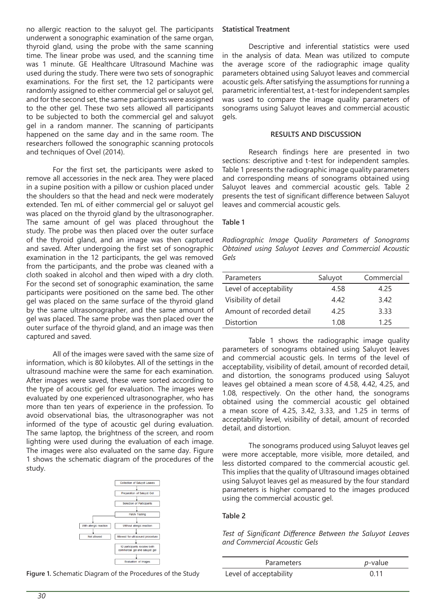no allergic reaction to the saluyot gel. The participants underwent a sonographic examination of the same organ, thyroid gland, using the probe with the same scanning time. The linear probe was used, and the scanning time was 1 minute. GE Healthcare Ultrasound Machine was used during the study. There were two sets of sonographic examinations. For the first set, the 12 participants were randomly assigned to either commercial gel or saluyot gel, and for the second set, the same participants were assigned to the other gel. These two sets allowed all participants to be subjected to both the commercial gel and saluyot gel in a random manner. The scanning of participants happened on the same day and in the same room. The researchers followed the sonographic scanning protocols and techniques of Ovel (2014).

For the first set, the participants were asked to remove all accessories in the neck area. They were placed in a supine position with a pillow or cushion placed under the shoulders so that the head and neck were moderately extended. Ten mL of either commercial gel or saluyot gel was placed on the thyroid gland by the ultrasonographer. The same amount of gel was placed throughout the study. The probe was then placed over the outer surface of the thyroid gland, and an image was then captured and saved. After undergoing the first set of sonographic examination in the 12 participants, the gel was removed from the participants, and the probe was cleaned with a cloth soaked in alcohol and then wiped with a dry cloth. For the second set of sonographic examination, the same participants were positioned on the same bed. The other gel was placed on the same surface of the thyroid gland by the same ultrasonographer, and the same amount of gel was placed. The same probe was then placed over the outer surface of the thyroid gland, and an image was then captured and saved.

All of the images were saved with the same size of information, which is 80 kilobytes. All of the settings in the ultrasound machine were the same for each examination. After images were saved, these were sorted according to the type of acoustic gel for evaluation. The images were evaluated by one experienced ultrasonographer, who has more than ten years of experience in the profession. To avoid observational bias, the ultrasonographer was not informed of the type of acoustic gel during evaluation. The same laptop, the brightness of the screen, and room lighting were used during the evaluation of each image. The images were also evaluated on the same day. Figure 1 shows the schematic diagram of the procedures of the study.



**Figure 1.** Schematic Diagram of the Procedures of the Study

#### **Statistical Treatment**

Descriptive and inferential statistics were used in the analysis of data. Mean was utilized to compute the average score of the radiographic image quality parameters obtained using Saluyot leaves and commercial acoustic gels. After satisfying the assumptions for running a parametric inferential test, a t-test for independent samples was used to compare the image quality parameters of sonograms using Saluyot leaves and commercial acoustic gels.

#### **RESULTS AND DISCUSSION**

Research findings here are presented in two sections: descriptive and t-test for independent samples. Table 1 presents the radiographic image quality parameters and corresponding means of sonograms obtained using Saluyot leaves and commercial acoustic gels. Table 2 presents the test of significant difference between Saluyot leaves and commercial acoustic gels.

#### **Table 1**

*Radiographic Image Quality Parameters of Sonograms Obtained using Saluyot Leaves and Commercial Acoustic Gels*

| Parameters                | Saluyot | Commercial |
|---------------------------|---------|------------|
| Level of acceptability    | 4.58    | 4.25       |
| Visibility of detail      | 4.42    | 3.42       |
| Amount of recorded detail | 4.25    | 3.33       |
| Distortion                | 1.08    | 125        |

Table 1 shows the radiographic image quality parameters of sonograms obtained using Saluyot leaves and commercial acoustic gels. In terms of the level of acceptability, visibility of detail, amount of recorded detail, and distortion, the sonograms produced using Saluyot leaves gel obtained a mean score of 4.58, 4.42, 4.25, and 1.08, respectively. On the other hand, the sonograms obtained using the commercial acoustic gel obtained a mean score of 4.25, 3.42, 3.33, and 1.25 in terms of acceptability level, visibility of detail, amount of recorded detail, and distortion.

The sonograms produced using Saluyot leaves gel were more acceptable, more visible, more detailed, and less distorted compared to the commercial acoustic gel. This implies that the quality of Ultrasound images obtained using Saluyot leaves gel as measured by the four standard parameters is higher compared to the images produced using the commercial acoustic gel.

#### **Table 2**

*Test of Significant Difference Between the Saluyot Leaves and Commercial Acoustic Gels*

| <b>Parameters</b>      | <i>p</i> -value |
|------------------------|-----------------|
| Level of acceptability | በ 11            |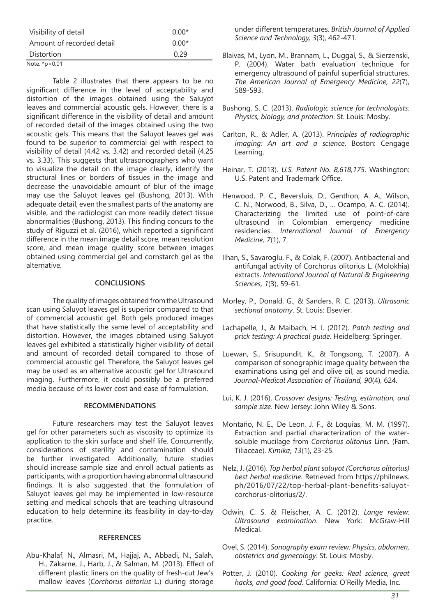| Visibility of detail      | $0.00*$ |
|---------------------------|---------|
| Amount of recorded detail | $0.00*$ |
| Distortion                | 0.29    |
| Note. *p<0.01             |         |

Table 2 illustrates that there appears to be no significant difference in the level of acceptability and distortion of the images obtained using the Saluyot leaves and commercial acoustic gels. However, there is a significant difference in the visibility of detail and amount of recorded detail of the images obtained using the two acoustic gels. This means that the Saluyot leaves gel was found to be superior to commercial gel with respect to visibility of detail (4.42 vs. 3.42) and recorded detail (4.25 vs. 3.33). This suggests that ultrasonographers who want to visualize the detail on the image clearly, identify the structural lines or borders of tissues in the image and decrease the unavoidable amount of blur of the image may use the Saluyot leaves gel (Bushong, 2013). With adequate detail, even the smallest parts of the anatomy are visible, and the radiologist can more readily detect tissue abnormalities (Bushong, 2013). This finding concurs to the study of Riguzzi et al. (2016), which reported a significant difference in the mean image detail score, mean resolution score, and mean image quality score between images obtained using commercial gel and cornstarch gel as the alternative.

#### **CONCLUSIONS**

The quality of images obtained from the Ultrasound scan using Saluyot leaves gel is superior compared to that of commercial acoustic gel. Both gels produced images that have statistically the same level of acceptability and distortion. However, the images obtained using Saluyot leaves gel exhibited a statistically higher visibility of detail and amount of recorded detail compared to those of commercial acoustic gel. Therefore, the Saluyot leaves gel may be used as an alternative acoustic gel for Ultrasound imaging. Furthermore, it could possibly be a preferred media because of its lower cost and ease of formulation.

#### **RECOMMENDATIONS**

Future researchers may test the Saluyot leaves gel for other parameters such as viscosity to optimize its application to the skin surface and shelf life. Concurrently, considerations of sterility and contamination should be further investigated. Additionally, future studies should increase sample size and enroll actual patients as participants, with a proportion having abnormal ultrasound findings. It is also suggested that the formulation of Saluyot leaves gel may be implemented in low-resource setting and medical schools that are teaching ultrasound education to help determine its feasibility in day-to-day practice.

#### **REFERENCES**

Abu-Khalaf, N., Almasri, M., Hajjaj, A., Abbadi, N., Salah, H., Zakarne, J., Harb, J., & Salman, M. (2013). Effect of different plastic liners on the quality of fresh-cut Jew's mallow leaves (*Corchorus olitorius* L.) during storage

under different temperatures. *British Journal of Applied Science and Technology, 3*(3), 462-471.

- Blaivas, M., Lyon, M., Brannam, L., Duggal, S., & Sierzenski, P. (2004). Water bath evaluation technique for emergency ultrasound of painful superficial structures. *The American Journal of Emergency Medicine, 22*(7), 589-593.
- Bushong, S. C. (2013). *Radiologic science for technologists: Physics, biology, and protection*. St. Louis: Mosby.
- Carlton, R., & Adler, A. (2013). P*rinciples of radiographic imaging: An art and a science*. Boston: Cengage Learning.
- Heinar, T. (2013). *U.S. Patent No. 8,618,175*. Washington: U.S. Patent and Trademark Office.
- Henwood, P. C., Beversluis, D., Genthon, A. A., Wilson, C. N., Norwood, B., Silva, D., ... Ocampo, A. C. (2014). Characterizing the limited use of point-of-care ultrasound in Colombian emergency medicine residencies. *International Journal of Emergency Medicine, 7*(1), 7.
- Ilhan, S., Savaroglu, F., & Colak, F. (2007). Antibacterial and antifungal activity of Corchorus olitorius L. (Molokhia) extracts. *International Journal of Natural & Engineering Sciences, 1*(3), 59-61.
- Morley, P., Donald, G., & Sanders, R. C. (2013). *Ultrasonic sectional anatomy*. St. Louis: Elsevier.
- Lachapelle, J., & Maibach, H. I. (2012). *Patch testing and prick testing: A practical guide*. Heidelberg: Springer.
- Luewan, S., Srisupundit, K., & Tongsong, T. (2007). A comparison of sonographic image quality between the examinations using gel and olive oil, as sound media. *Journal-Medical Association of Thailand, 90*(4), 624.
- Lui, K. J. (2016). *Crossover designs: Testing, estimation, and sample size*. New Jersey: John Wiley & Sons.
- Montaño, N. E., De Leon, J. F., & Loquias, M. M. (1997). Extraction and partial characterization of the watersoluble mucilage from *Corchorus olitorius* Linn. (Fam. Tiliaceae). *Kimika*, *13*(1), 23-25.
- Nelz, J. (2016). *Top herbal plant saluyot (Corchorus olitorius) best herbal medicine*. Retrieved from https://philnews. ph/2016/07/22/top-herbal-plant-benefits-saluyotcorchorus-olitorius/2/.
- Odwin, C. S. & Fleischer, A. C. (2012). *Lange review: Ultrasound examination*. New York: McGraw-Hill Medical.
- Ovel, S. (2014). *Sonography exam review: Physics, abdomen, obstetrics and gynecology*. St. Louis: Mosby.
- Potter, J. (2010). *Cooking for geeks: Real science, great hacks, and good food*. California: O'Reilly Media, Inc.